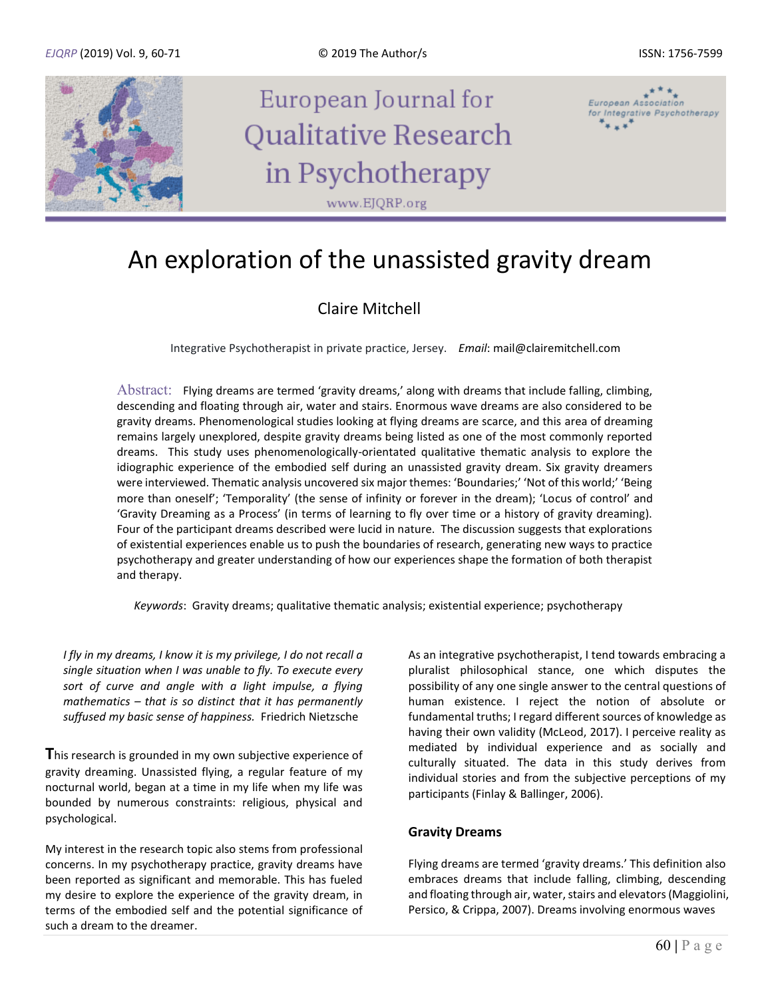

# An exploration of the unassisted gravity dream

### Claire Mitchell

Integrative Psychotherapist in private practice, Jersey. *Email*: mail@clairemitchell.com

Abstract: Flying dreams are termed 'gravity dreams,' along with dreams that include falling, climbing, descending and floating through air, water and stairs. Enormous wave dreams are also considered to be gravity dreams. Phenomenological studies looking at flying dreams are scarce, and this area of dreaming remains largely unexplored, despite gravity dreams being listed as one of the most commonly reported dreams. This study uses phenomenologically-orientated qualitative thematic analysis to explore the idiographic experience of the embodied self during an unassisted gravity dream. Six gravity dreamers were interviewed. Thematic analysis uncovered six major themes: 'Boundaries;' 'Not of this world;' 'Being more than oneself'; 'Temporality' (the sense of infinity or forever in the dream); 'Locus of control' and 'Gravity Dreaming as a Process' (in terms of learning to fly over time or a history of gravity dreaming). Four of the participant dreams described were lucid in nature. The discussion suggests that explorations of existential experiences enable us to push the boundaries of research, generating new ways to practice psychotherapy and greater understanding of how our experiences shape the formation of both therapist and therapy.

 *Keywords*: Gravity dreams; qualitative thematic analysis; existential experience; psychotherapy

*I fly in my dreams, I know it is my privilege, I do not recall a single situation when I was unable to fly. To execute every sort of curve and angle with a light impulse, a flying mathematics – that is so distinct that it has permanently suffused my basic sense of happiness.* Friedrich Nietzsche

**T**his research is grounded in my own subjective experience of gravity dreaming. Unassisted flying, a regular feature of my nocturnal world, began at a time in my life when my life was bounded by numerous constraints: religious, physical and psychological.

My interest in the research topic also stems from professional concerns. In my psychotherapy practice, gravity dreams have been reported as significant and memorable. This has fueled my desire to explore the experience of the gravity dream, in terms of the embodied self and the potential significance of such a dream to the dreamer.

As an integrative psychotherapist, I tend towards embracing a pluralist philosophical stance, one which disputes the possibility of any one single answer to the central questions of human existence. I reject the notion of absolute or fundamental truths; I regard different sources of knowledge as having their own validity (McLeod, 2017). I perceive reality as mediated by individual experience and as socially and culturally situated. The data in this study derives from individual stories and from the subjective perceptions of my participants (Finlay & Ballinger, 2006).

#### **Gravity Dreams**

Flying dreams are termed 'gravity dreams.' This definition also embraces dreams that include falling, climbing, descending and floating through air, water, stairs and elevators (Maggiolini, Persico, & Crippa, 2007). Dreams involving enormous waves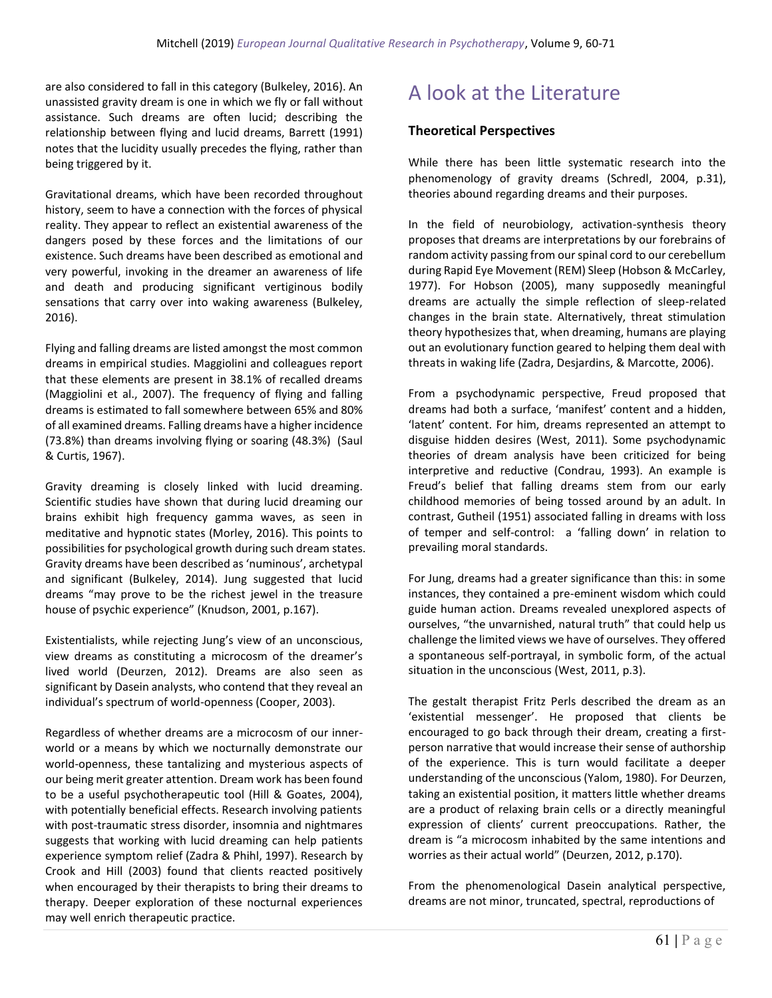are also considered to fall in this category (Bulkeley, 2016). An unassisted gravity dream is one in which we fly or fall without assistance. Such dreams are often lucid; describing the relationship between flying and lucid dreams, Barrett (1991) notes that the lucidity usually precedes the flying, rather than being triggered by it.

Gravitational dreams, which have been recorded throughout history, seem to have a connection with the forces of physical reality. They appear to reflect an existential awareness of the dangers posed by these forces and the limitations of our existence. Such dreams have been described as emotional and very powerful, invoking in the dreamer an awareness of life and death and producing significant vertiginous bodily sensations that carry over into waking awareness (Bulkeley, 2016).

Flying and falling dreams are listed amongst the most common dreams in empirical studies. Maggiolini and colleagues report that these elements are present in 38.1% of recalled dreams (Maggiolini et al., 2007). The frequency of flying and falling dreams is estimated to fall somewhere between 65% and 80% of all examined dreams. Falling dreams have a higher incidence (73.8%) than dreams involving flying or soaring (48.3%) (Saul & Curtis, 1967).

Gravity dreaming is closely linked with lucid dreaming. Scientific studies have shown that during lucid dreaming our brains exhibit high frequency gamma waves, as seen in meditative and hypnotic states (Morley, 2016). This points to possibilities for psychological growth during such dream states. Gravity dreams have been described as 'numinous', archetypal and significant (Bulkeley, 2014). Jung suggested that lucid dreams "may prove to be the richest jewel in the treasure house of psychic experience" (Knudson, 2001, p.167).

Existentialists, while rejecting Jung's view of an unconscious, view dreams as constituting a microcosm of the dreamer's lived world (Deurzen, 2012). Dreams are also seen as significant by Dasein analysts, who contend that they reveal an individual's spectrum of world-openness (Cooper, 2003).

Regardless of whether dreams are a microcosm of our innerworld or a means by which we nocturnally demonstrate our world-openness, these tantalizing and mysterious aspects of our being merit greater attention. Dream work has been found to be a useful psychotherapeutic tool (Hill & Goates, 2004), with potentially beneficial effects. Research involving patients with post-traumatic stress disorder, insomnia and nightmares suggests that working with lucid dreaming can help patients experience symptom relief (Zadra & Phihl, 1997). Research by Crook and Hill (2003) found that clients reacted positively when encouraged by their therapists to bring their dreams to therapy. Deeper exploration of these nocturnal experiences may well enrich therapeutic practice.

## A look at the Literature

#### **Theoretical Perspectives**

While there has been little systematic research into the phenomenology of gravity dreams (Schredl, 2004, p.31), theories abound regarding dreams and their purposes.

In the field of neurobiology, activation-synthesis theory proposes that dreams are interpretations by our forebrains of random activity passing from our spinal cord to our cerebellum during Rapid Eye Movement (REM) Sleep (Hobson & McCarley, 1977). For Hobson (2005), many supposedly meaningful dreams are actually the simple reflection of sleep-related changes in the brain state. Alternatively, threat stimulation theory hypothesizes that, when dreaming, humans are playing out an evolutionary function geared to helping them deal with threats in waking life (Zadra, Desjardins, & Marcotte, 2006).

From a psychodynamic perspective, Freud proposed that dreams had both a surface, 'manifest' content and a hidden, 'latent' content. For him, dreams represented an attempt to disguise hidden desires (West, 2011). Some psychodynamic theories of dream analysis have been criticized for being interpretive and reductive (Condrau, 1993). An example is Freud's belief that falling dreams stem from our early childhood memories of being tossed around by an adult. In contrast, Gutheil (1951) associated falling in dreams with loss of temper and self-control: a 'falling down' in relation to prevailing moral standards.

For Jung, dreams had a greater significance than this: in some instances, they contained a pre-eminent wisdom which could guide human action. Dreams revealed unexplored aspects of ourselves, "the unvarnished, natural truth" that could help us challenge the limited views we have of ourselves. They offered a spontaneous self-portrayal, in symbolic form, of the actual situation in the unconscious (West, 2011, p.3).

The gestalt therapist Fritz Perls described the dream as an 'existential messenger'. He proposed that clients be encouraged to go back through their dream, creating a firstperson narrative that would increase their sense of authorship of the experience. This is turn would facilitate a deeper understanding of the unconscious (Yalom, 1980). For Deurzen, taking an existential position, it matters little whether dreams are a product of relaxing brain cells or a directly meaningful expression of clients' current preoccupations. Rather, the dream is "a microcosm inhabited by the same intentions and worries as their actual world" (Deurzen, 2012, p.170).

From the phenomenological Dasein analytical perspective, dreams are not minor, truncated, spectral, reproductions of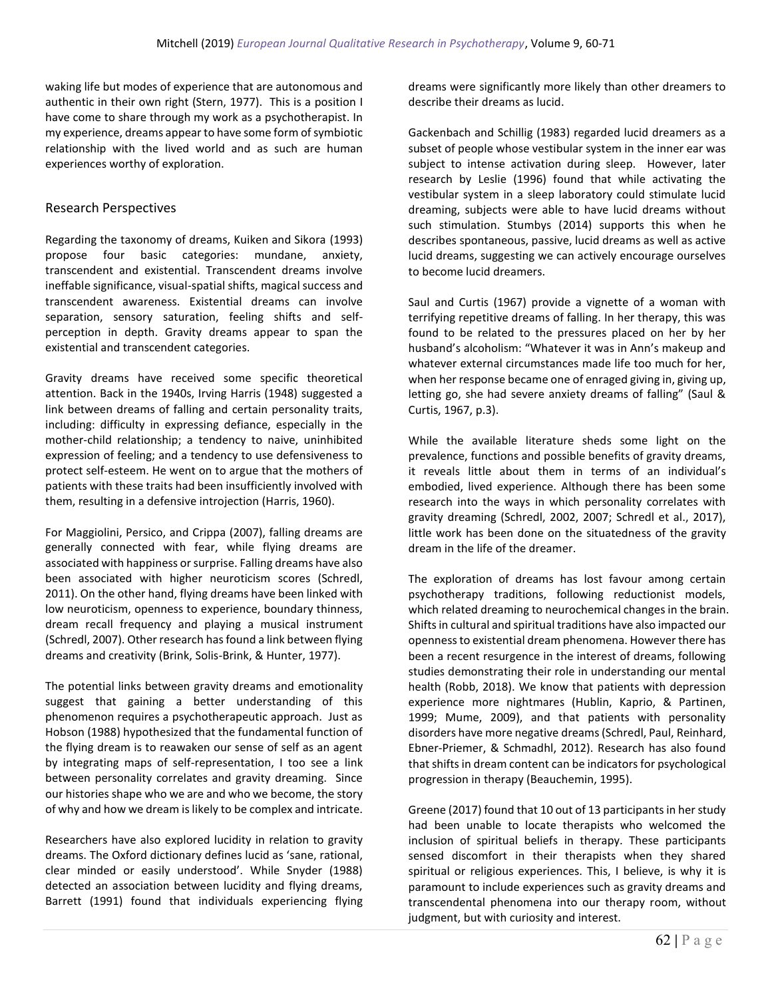waking life but modes of experience that are autonomous and authentic in their own right (Stern, 1977). This is a position I have come to share through my work as a psychotherapist. In my experience, dreams appear to have some form of symbiotic relationship with the lived world and as such are human experiences worthy of exploration.

#### Research Perspectives

Regarding the taxonomy of dreams, Kuiken and Sikora (1993) propose four basic categories: mundane, anxiety, transcendent and existential. Transcendent dreams involve ineffable significance, visual-spatial shifts, magical success and transcendent awareness. Existential dreams can involve separation, sensory saturation, feeling shifts and selfperception in depth. Gravity dreams appear to span the existential and transcendent categories.

Gravity dreams have received some specific theoretical attention. Back in the 1940s, Irving Harris (1948) suggested a link between dreams of falling and certain personality traits, including: difficulty in expressing defiance, especially in the mother-child relationship; a tendency to naive, uninhibited expression of feeling; and a tendency to use defensiveness to protect self-esteem. He went on to argue that the mothers of patients with these traits had been insufficiently involved with them, resulting in a defensive introjection (Harris, 1960).

For Maggiolini, Persico, and Crippa (2007), falling dreams are generally connected with fear, while flying dreams are associated with happiness or surprise. Falling dreams have also been associated with higher neuroticism scores (Schredl, 2011). On the other hand, flying dreams have been linked with low neuroticism, openness to experience, boundary thinness, dream recall frequency and playing a musical instrument (Schredl, 2007). Other research has found a link between flying dreams and creativity (Brink, Solis-Brink, & Hunter, 1977).

The potential links between gravity dreams and emotionality suggest that gaining a better understanding of this phenomenon requires a psychotherapeutic approach. Just as Hobson (1988) hypothesized that the fundamental function of the flying dream is to reawaken our sense of self as an agent by integrating maps of self-representation, I too see a link between personality correlates and gravity dreaming. Since our histories shape who we are and who we become, the story of why and how we dream is likely to be complex and intricate.

Researchers have also explored lucidity in relation to gravity dreams. The Oxford dictionary defines lucid as 'sane, rational, clear minded or easily understood'. While Snyder (1988) detected an association between lucidity and flying dreams, Barrett (1991) found that individuals experiencing flying dreams were significantly more likely than other dreamers to describe their dreams as lucid.

Gackenbach and Schillig (1983) regarded lucid dreamers as a subset of people whose vestibular system in the inner ear was subject to intense activation during sleep. However, later research by Leslie (1996) found that while activating the vestibular system in a sleep laboratory could stimulate lucid dreaming, subjects were able to have lucid dreams without such stimulation. Stumbys (2014) supports this when he describes spontaneous, passive, lucid dreams as well as active lucid dreams, suggesting we can actively encourage ourselves to become lucid dreamers.

Saul and Curtis (1967) provide a vignette of a woman with terrifying repetitive dreams of falling. In her therapy, this was found to be related to the pressures placed on her by her husband's alcoholism: "Whatever it was in Ann's makeup and whatever external circumstances made life too much for her, when her response became one of enraged giving in, giving up, letting go, she had severe anxiety dreams of falling" (Saul & Curtis, 1967, p.3).

While the available literature sheds some light on the prevalence, functions and possible benefits of gravity dreams, it reveals little about them in terms of an individual's embodied, lived experience. Although there has been some research into the ways in which personality correlates with gravity dreaming (Schredl, 2002, 2007; Schredl et al., 2017), little work has been done on the situatedness of the gravity dream in the life of the dreamer.

The exploration of dreams has lost favour among certain psychotherapy traditions, following reductionist models, which related dreaming to neurochemical changes in the brain. Shifts in cultural and spiritual traditions have also impacted our openness to existential dream phenomena. However there has been a recent resurgence in the interest of dreams, following studies demonstrating their role in understanding our mental health (Robb, 2018). We know that patients with depression experience more nightmares (Hublin, Kaprio, & Partinen, 1999; Mume, 2009), and that patients with personality disorders have more negative dreams (Schredl, Paul, Reinhard, Ebner-Priemer, & Schmadhl, 2012). Research has also found that shifts in dream content can be indicators for psychological progression in therapy (Beauchemin, 1995).

Greene (2017) found that 10 out of 13 participants in her study had been unable to locate therapists who welcomed the inclusion of spiritual beliefs in therapy. These participants sensed discomfort in their therapists when they shared spiritual or religious experiences. This, I believe, is why it is paramount to include experiences such as gravity dreams and transcendental phenomena into our therapy room, without judgment, but with curiosity and interest.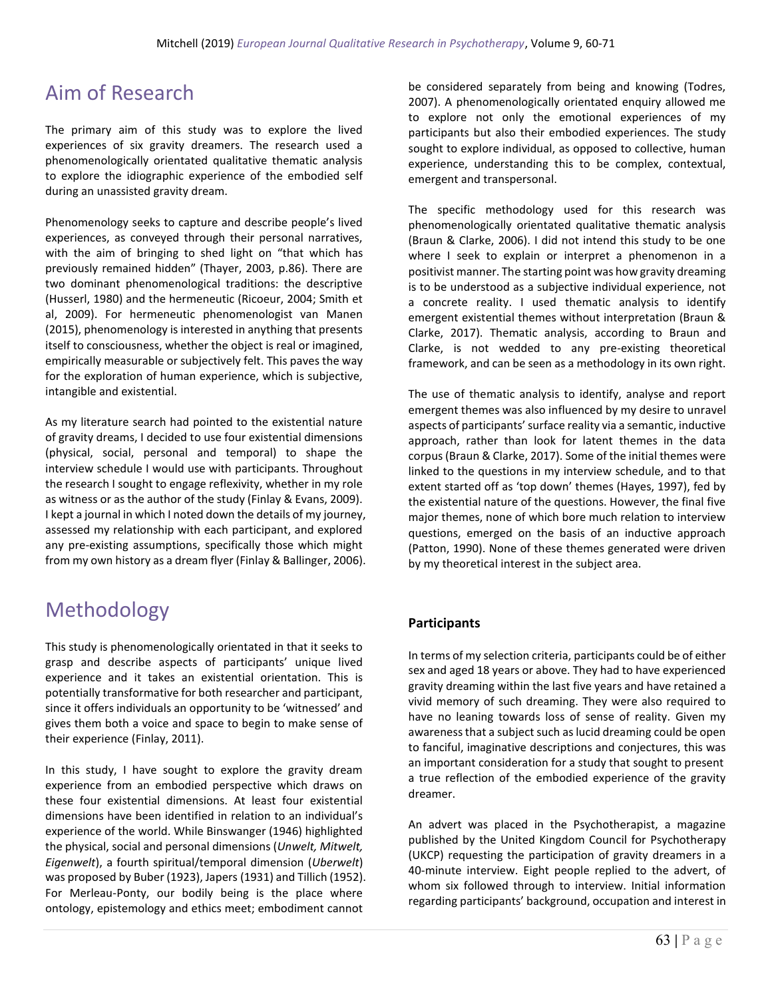### Aim of Research

The primary aim of this study was to explore the lived experiences of six gravity dreamers. The research used a phenomenologically orientated qualitative thematic analysis to explore the idiographic experience of the embodied self during an unassisted gravity dream.

Phenomenology seeks to capture and describe people's lived experiences, as conveyed through their personal narratives, with the aim of bringing to shed light on "that which has previously remained hidden" (Thayer, 2003, p.86). There are two dominant phenomenological traditions: the descriptive (Husserl, 1980) and the hermeneutic (Ricoeur, 2004; Smith et al, 2009). For hermeneutic phenomenologist van Manen (2015), phenomenology is interested in anything that presents itself to consciousness, whether the object is real or imagined, empirically measurable or subjectively felt. This paves the way for the exploration of human experience, which is subjective, intangible and existential.

As my literature search had pointed to the existential nature of gravity dreams, I decided to use four existential dimensions (physical, social, personal and temporal) to shape the interview schedule I would use with participants. Throughout the research I sought to engage reflexivity, whether in my role as witness or as the author of the study (Finlay & Evans, 2009). I kept a journal in which I noted down the details of my journey, assessed my relationship with each participant, and explored any pre-existing assumptions, specifically those which might from my own history as a dream flyer (Finlay & Ballinger, 2006).

## Methodology

This study is phenomenologically orientated in that it seeks to grasp and describe aspects of participants' unique lived experience and it takes an existential orientation. This is potentially transformative for both researcher and participant, since it offers individuals an opportunity to be 'witnessed' and gives them both a voice and space to begin to make sense of their experience (Finlay, 2011).

In this study, I have sought to explore the gravity dream experience from an embodied perspective which draws on these four existential dimensions. At least four existential dimensions have been identified in relation to an individual's experience of the world. While Binswanger (1946) highlighted the physical, social and personal dimensions (*Unwelt, Mitwelt, Eigenwelt*), a fourth spiritual/temporal dimension (*Uberwelt*) was proposed by Buber (1923), Japers (1931) and Tillich (1952). For Merleau-Ponty, our bodily being is the place where ontology, epistemology and ethics meet; embodiment cannot

be considered separately from being and knowing (Todres, 2007). A phenomenologically orientated enquiry allowed me to explore not only the emotional experiences of my participants but also their embodied experiences. The study sought to explore individual, as opposed to collective, human experience, understanding this to be complex, contextual, emergent and transpersonal.

The specific methodology used for this research was phenomenologically orientated qualitative thematic analysis (Braun & Clarke, 2006). I did not intend this study to be one where I seek to explain or interpret a phenomenon in a positivist manner. The starting point was how gravity dreaming is to be understood as a subjective individual experience, not a concrete reality. I used thematic analysis to identify emergent existential themes without interpretation (Braun & Clarke, 2017). Thematic analysis, according to Braun and Clarke, is not wedded to any pre-existing theoretical framework, and can be seen as a methodology in its own right.

The use of thematic analysis to identify, analyse and report emergent themes was also influenced by my desire to unravel aspects of participants' surface reality via a semantic, inductive approach, rather than look for latent themes in the data corpus (Braun & Clarke, 2017). Some of the initial themes were linked to the questions in my interview schedule, and to that extent started off as 'top down' themes (Hayes, 1997), fed by the existential nature of the questions. However, the final five major themes, none of which bore much relation to interview questions, emerged on the basis of an inductive approach (Patton, 1990). None of these themes generated were driven by my theoretical interest in the subject area.

#### **Participants**

In terms of my selection criteria, participants could be of either sex and aged 18 years or above. They had to have experienced gravity dreaming within the last five years and have retained a vivid memory of such dreaming. They were also required to have no leaning towards loss of sense of reality. Given my awareness that a subject such as lucid dreaming could be open to fanciful, imaginative descriptions and conjectures, this was an important consideration for a study that sought to present a true reflection of the embodied experience of the gravity dreamer.

An advert was placed in the Psychotherapist, a magazine published by the United Kingdom Council for Psychotherapy (UKCP) requesting the participation of gravity dreamers in a 40-minute interview. Eight people replied to the advert, of whom six followed through to interview. Initial information regarding participants' background, occupation and interest in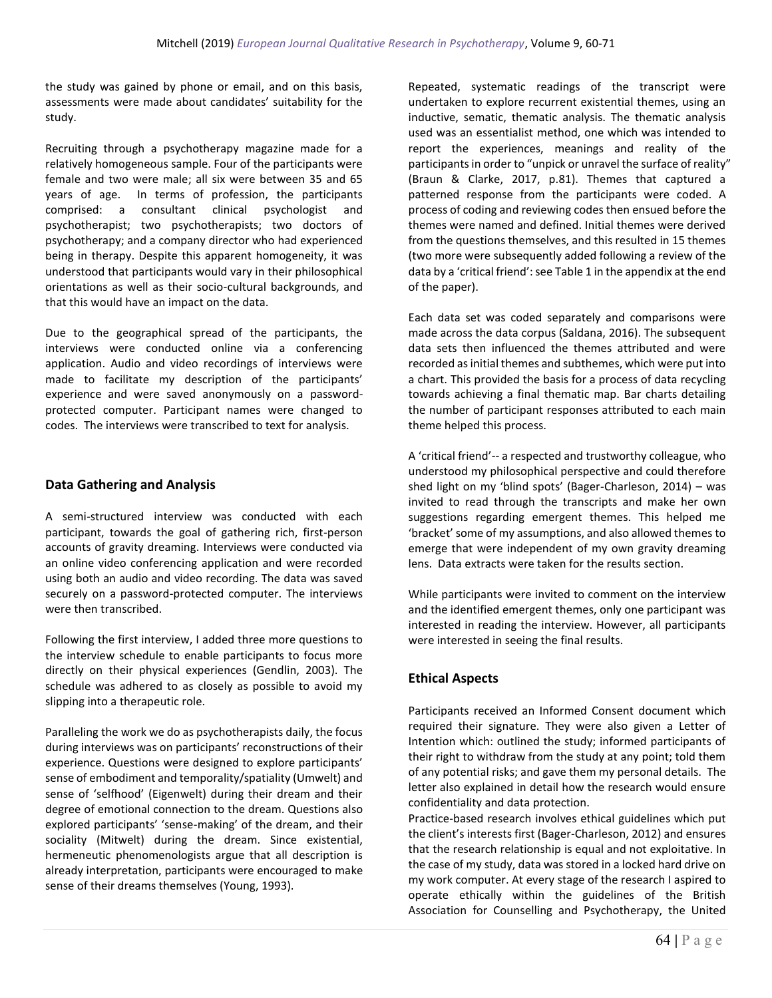the study was gained by phone or email, and on this basis, assessments were made about candidates' suitability for the study.

Recruiting through a psychotherapy magazine made for a relatively homogeneous sample. Four of the participants were female and two were male; all six were between 35 and 65 years of age. In terms of profession, the participants comprised: a consultant clinical psychologist and psychotherapist; two psychotherapists; two doctors of psychotherapy; and a company director who had experienced being in therapy. Despite this apparent homogeneity, it was understood that participants would vary in their philosophical orientations as well as their socio-cultural backgrounds, and that this would have an impact on the data.

Due to the geographical spread of the participants, the interviews were conducted online via a conferencing application. Audio and video recordings of interviews were made to facilitate my description of the participants' experience and were saved anonymously on a passwordprotected computer. Participant names were changed to codes. The interviews were transcribed to text for analysis.

### **Data Gathering and Analysis**

A semi-structured interview was conducted with each participant, towards the goal of gathering rich, first-person accounts of gravity dreaming. Interviews were conducted via an online video conferencing application and were recorded using both an audio and video recording. The data was saved securely on a password-protected computer. The interviews were then transcribed.

Following the first interview, I added three more questions to the interview schedule to enable participants to focus more directly on their physical experiences (Gendlin, 2003). The schedule was adhered to as closely as possible to avoid my slipping into a therapeutic role.

Paralleling the work we do as psychotherapists daily, the focus during interviews was on participants' reconstructions of their experience. Questions were designed to explore participants' sense of embodiment and temporality/spatiality (Umwelt) and sense of 'selfhood' (Eigenwelt) during their dream and their degree of emotional connection to the dream. Questions also explored participants' 'sense-making' of the dream, and their sociality (Mitwelt) during the dream. Since existential, hermeneutic phenomenologists argue that all description is already interpretation, participants were encouraged to make sense of their dreams themselves (Young, 1993).

Repeated, systematic readings of the transcript were undertaken to explore recurrent existential themes, using an inductive, sematic, thematic analysis. The thematic analysis used was an essentialist method, one which was intended to report the experiences, meanings and reality of the participants in order to "unpick or unravel the surface of reality" (Braun & Clarke, 2017, p.81). Themes that captured a patterned response from the participants were coded. A process of coding and reviewing codes then ensued before the themes were named and defined. Initial themes were derived from the questions themselves, and this resulted in 15 themes (two more were subsequently added following a review of the data by a 'critical friend': see Table 1 in the appendix at the end of the paper).

Each data set was coded separately and comparisons were made across the data corpus (Saldana, 2016). The subsequent data sets then influenced the themes attributed and were recorded as initial themes and subthemes, which were put into a chart. This provided the basis for a process of data recycling towards achieving a final thematic map. Bar charts detailing the number of participant responses attributed to each main theme helped this process.

A 'critical friend'-- a respected and trustworthy colleague, who understood my philosophical perspective and could therefore shed light on my 'blind spots' (Bager-Charleson, 2014) – was invited to read through the transcripts and make her own suggestions regarding emergent themes. This helped me 'bracket' some of my assumptions, and also allowed themes to emerge that were independent of my own gravity dreaming lens. Data extracts were taken for the results section.

While participants were invited to comment on the interview and the identified emergent themes, only one participant was interested in reading the interview. However, all participants were interested in seeing the final results.

### **Ethical Aspects**

Participants received an Informed Consent document which required their signature. They were also given a Letter of Intention which: outlined the study; informed participants of their right to withdraw from the study at any point; told them of any potential risks; and gave them my personal details. The letter also explained in detail how the research would ensure confidentiality and data protection.

Practice-based research involves ethical guidelines which put the client's interests first (Bager-Charleson, 2012) and ensures that the research relationship is equal and not exploitative. In the case of my study, data was stored in a locked hard drive on my work computer. At every stage of the research I aspired to operate ethically within the guidelines of the British Association for Counselling and Psychotherapy, the United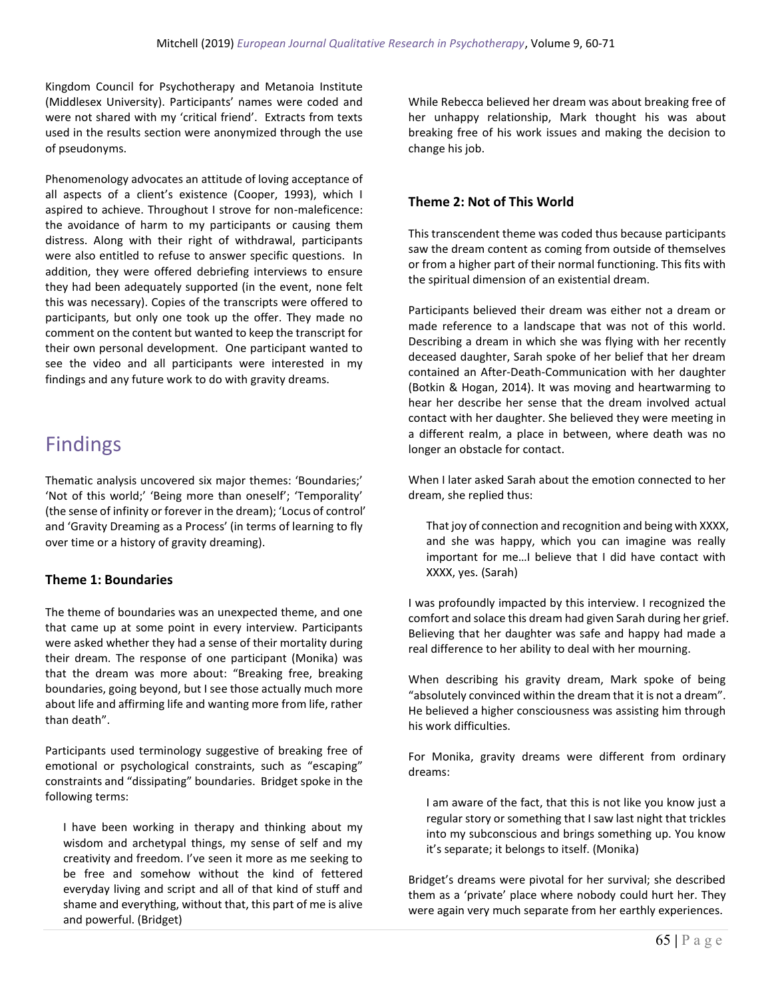Kingdom Council for Psychotherapy and Metanoia Institute (Middlesex University). Participants' names were coded and were not shared with my 'critical friend'. Extracts from texts used in the results section were anonymized through the use of pseudonyms.

Phenomenology advocates an attitude of loving acceptance of all aspects of a client's existence (Cooper, 1993), which I aspired to achieve. Throughout I strove for non-maleficence: the avoidance of harm to my participants or causing them distress. Along with their right of withdrawal, participants were also entitled to refuse to answer specific questions. In addition, they were offered debriefing interviews to ensure they had been adequately supported (in the event, none felt this was necessary). Copies of the transcripts were offered to participants, but only one took up the offer. They made no comment on the content but wanted to keep the transcript for their own personal development. One participant wanted to see the video and all participants were interested in my findings and any future work to do with gravity dreams.

## Findings

Thematic analysis uncovered six major themes: 'Boundaries;' 'Not of this world;' 'Being more than oneself'; 'Temporality' (the sense of infinity or forever in the dream); 'Locus of control' and 'Gravity Dreaming as a Process' (in terms of learning to fly over time or a history of gravity dreaming).

#### **Theme 1: Boundaries**

The theme of boundaries was an unexpected theme, and one that came up at some point in every interview. Participants were asked whether they had a sense of their mortality during their dream. The response of one participant (Monika) was that the dream was more about: "Breaking free, breaking boundaries, going beyond, but I see those actually much more about life and affirming life and wanting more from life, rather than death".

Participants used terminology suggestive of breaking free of emotional or psychological constraints, such as "escaping" constraints and "dissipating" boundaries. Bridget spoke in the following terms:

I have been working in therapy and thinking about my wisdom and archetypal things, my sense of self and my creativity and freedom. I've seen it more as me seeking to be free and somehow without the kind of fettered everyday living and script and all of that kind of stuff and shame and everything, without that, this part of me is alive and powerful. (Bridget)

While Rebecca believed her dream was about breaking free of her unhappy relationship, Mark thought his was about breaking free of his work issues and making the decision to change his job.

#### **Theme 2: Not of This World**

This transcendent theme was coded thus because participants saw the dream content as coming from outside of themselves or from a higher part of their normal functioning. This fits with the spiritual dimension of an existential dream.

Participants believed their dream was either not a dream or made reference to a landscape that was not of this world. Describing a dream in which she was flying with her recently deceased daughter, Sarah spoke of her belief that her dream contained an After-Death-Communication with her daughter (Botkin & Hogan, 2014). It was moving and heartwarming to hear her describe her sense that the dream involved actual contact with her daughter. She believed they were meeting in a different realm, a place in between, where death was no longer an obstacle for contact.

When I later asked Sarah about the emotion connected to her dream, she replied thus:

That joy of connection and recognition and being with XXXX, and she was happy, which you can imagine was really important for me…I believe that I did have contact with XXXX, yes. (Sarah)

I was profoundly impacted by this interview. I recognized the comfort and solace this dream had given Sarah during her grief. Believing that her daughter was safe and happy had made a real difference to her ability to deal with her mourning.

When describing his gravity dream, Mark spoke of being "absolutely convinced within the dream that it is not a dream". He believed a higher consciousness was assisting him through his work difficulties.

For Monika, gravity dreams were different from ordinary dreams:

I am aware of the fact, that this is not like you know just a regular story or something that I saw last night that trickles into my subconscious and brings something up. You know it's separate; it belongs to itself. (Monika)

Bridget's dreams were pivotal for her survival; she described them as a 'private' place where nobody could hurt her. They were again very much separate from her earthly experiences.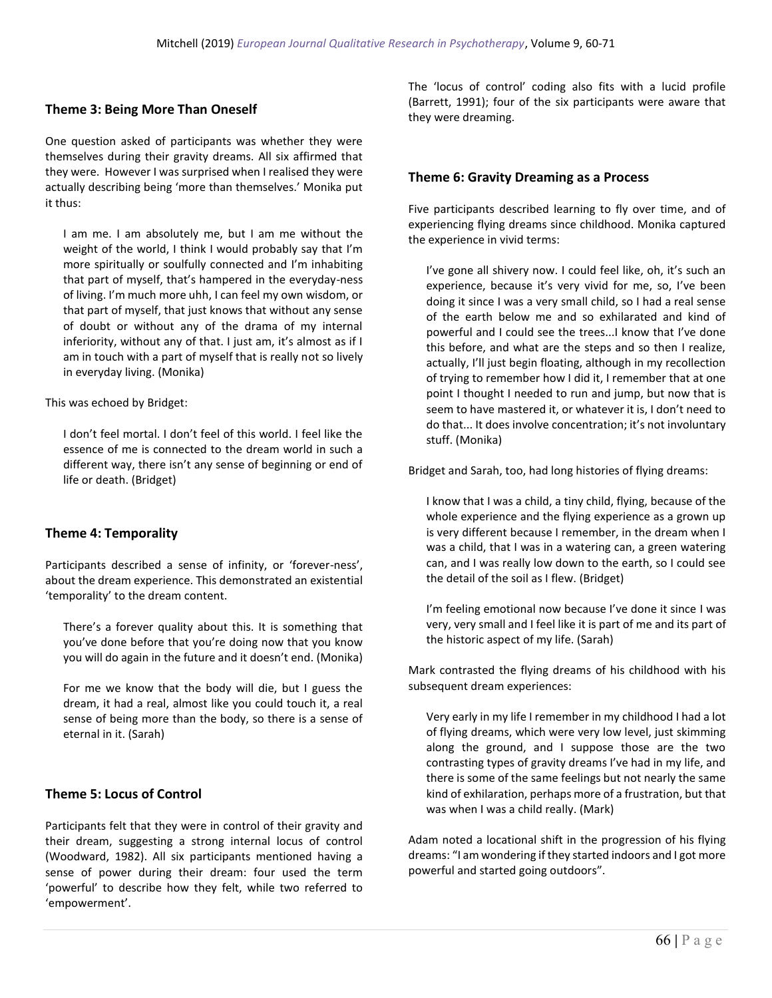#### **Theme 3: Being More Than Oneself**

One question asked of participants was whether they were themselves during their gravity dreams. All six affirmed that they were. However I was surprised when I realised they were actually describing being 'more than themselves.' Monika put it thus:

I am me. I am absolutely me, but I am me without the weight of the world, I think I would probably say that I'm more spiritually or soulfully connected and I'm inhabiting that part of myself, that's hampered in the everyday-ness of living. I'm much more uhh, I can feel my own wisdom, or that part of myself, that just knows that without any sense of doubt or without any of the drama of my internal inferiority, without any of that. I just am, it's almost as if I am in touch with a part of myself that is really not so lively in everyday living. (Monika)

This was echoed by Bridget:

I don't feel mortal. I don't feel of this world. I feel like the essence of me is connected to the dream world in such a different way, there isn't any sense of beginning or end of life or death. (Bridget)

#### **Theme 4: Temporality**

Participants described a sense of infinity, or 'forever-ness', about the dream experience. This demonstrated an existential 'temporality' to the dream content.

There's a forever quality about this. It is something that you've done before that you're doing now that you know you will do again in the future and it doesn't end. (Monika)

For me we know that the body will die, but I guess the dream, it had a real, almost like you could touch it, a real sense of being more than the body, so there is a sense of eternal in it. (Sarah)

#### **Theme 5: Locus of Control**

Participants felt that they were in control of their gravity and their dream, suggesting a strong internal locus of control (Woodward, 1982). All six participants mentioned having a sense of power during their dream: four used the term 'powerful' to describe how they felt, while two referred to 'empowerment'.

The 'locus of control' coding also fits with a lucid profile (Barrett, 1991); four of the six participants were aware that they were dreaming.

#### **Theme 6: Gravity Dreaming as a Process**

Five participants described learning to fly over time, and of experiencing flying dreams since childhood. Monika captured the experience in vivid terms:

I've gone all shivery now. I could feel like, oh, it's such an experience, because it's very vivid for me, so, I've been doing it since I was a very small child, so I had a real sense of the earth below me and so exhilarated and kind of powerful and I could see the trees...I know that I've done this before, and what are the steps and so then I realize, actually, I'll just begin floating, although in my recollection of trying to remember how I did it, I remember that at one point I thought I needed to run and jump, but now that is seem to have mastered it, or whatever it is, I don't need to do that... It does involve concentration; it's not involuntary stuff. (Monika)

Bridget and Sarah, too, had long histories of flying dreams:

I know that I was a child, a tiny child, flying, because of the whole experience and the flying experience as a grown up is very different because I remember, in the dream when I was a child, that I was in a watering can, a green watering can, and I was really low down to the earth, so I could see the detail of the soil as I flew. (Bridget)

I'm feeling emotional now because I've done it since I was very, very small and I feel like it is part of me and its part of the historic aspect of my life. (Sarah)

Mark contrasted the flying dreams of his childhood with his subsequent dream experiences:

Very early in my life I remember in my childhood I had a lot of flying dreams, which were very low level, just skimming along the ground, and I suppose those are the two contrasting types of gravity dreams I've had in my life, and there is some of the same feelings but not nearly the same kind of exhilaration, perhaps more of a frustration, but that was when I was a child really. (Mark)

Adam noted a locational shift in the progression of his flying dreams: "I am wondering if they started indoors and I got more powerful and started going outdoors".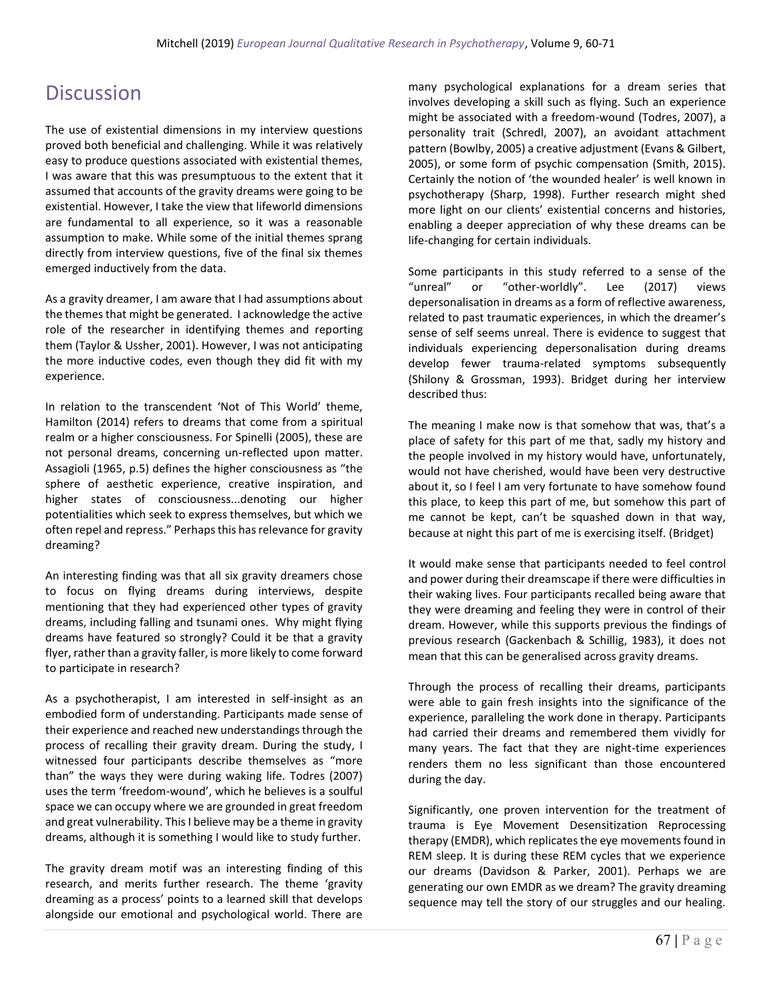## **Discussion**

The use of existential dimensions in my interview questions proved both beneficial and challenging. While it was relatively easy to produce questions associated with existential themes, I was aware that this was presumptuous to the extent that it assumed that accounts of the gravity dreams were going to be existential. However, I take the view that lifeworld dimensions are fundamental to all experience, so it was a reasonable assumption to make. While some of the initial themes sprang directly from interview questions, five of the final six themes emerged inductively from the data.

As a gravity dreamer, I am aware that I had assumptions about the themes that might be generated. I acknowledge the active role of the researcher in identifying themes and reporting them (Taylor & Ussher, 2001). However, I was not anticipating the more inductive codes, even though they did fit with my experience.

In relation to the transcendent 'Not of This World' theme, Hamilton (2014) refers to dreams that come from a spiritual realm or a higher consciousness. For Spinelli (2005), these are not personal dreams, concerning un-reflected upon matter. Assagioli (1965, p.5) defines the higher consciousness as "the sphere of aesthetic experience, creative inspiration, and higher states of consciousness...denoting our higher potentialities which seek to express themselves, but which we often repel and repress." Perhaps this has relevance for gravity dreaming?

An interesting finding was that all six gravity dreamers chose to focus on flying dreams during interviews, despite mentioning that they had experienced other types of gravity dreams, including falling and tsunami ones. Why might flying dreams have featured so strongly? Could it be that a gravity flyer, rather than a gravity faller, is more likely to come forward to participate in research?

As a psychotherapist, I am interested in self-insight as an embodied form of understanding. Participants made sense of their experience and reached new understandings through the process of recalling their gravity dream. During the study, I witnessed four participants describe themselves as "more than" the ways they were during waking life. Todres (2007) uses the term 'freedom-wound', which he believes is a soulful space we can occupy where we are grounded in great freedom and great vulnerability. This I believe may be a theme in gravity dreams, although it is something I would like to study further.

The gravity dream motif was an interesting finding of this research, and merits further research. The theme 'gravity dreaming as a process' points to a learned skill that develops alongside our emotional and psychological world. There are

many psychological explanations for a dream series that involves developing a skill such as flying. Such an experience might be associated with a freedom-wound (Todres, 2007), a personality trait (Schredl, 2007), an avoidant attachment pattern (Bowlby, 2005) a creative adjustment (Evans & Gilbert, 2005), or some form of psychic compensation (Smith, 2015). Certainly the notion of 'the wounded healer' is well known in psychotherapy (Sharp, 1998). Further research might shed more light on our clients' existential concerns and histories, enabling a deeper appreciation of why these dreams can be life-changing for certain individuals.

Some participants in this study referred to a sense of the "unreal" or "other-worldly". Lee (2017) views depersonalisation in dreams as a form of reflective awareness, related to past traumatic experiences, in which the dreamer's sense of self seems unreal. There is evidence to suggest that individuals experiencing depersonalisation during dreams develop fewer trauma-related symptoms subsequently (Shilony & Grossman, 1993). Bridget during her interview described thus:

The meaning I make now is that somehow that was, that's a place of safety for this part of me that, sadly my history and the people involved in my history would have, unfortunately, would not have cherished, would have been very destructive about it, so I feel I am very fortunate to have somehow found this place, to keep this part of me, but somehow this part of me cannot be kept, can't be squashed down in that way, because at night this part of me is exercising itself. (Bridget)

It would make sense that participants needed to feel control and power during their dreamscape if there were difficulties in their waking lives. Four participants recalled being aware that they were dreaming and feeling they were in control of their dream. However, while this supports previous the findings of previous research (Gackenbach & Schillig, 1983), it does not mean that this can be generalised across gravity dreams.

Through the process of recalling their dreams, participants were able to gain fresh insights into the significance of the experience, paralleling the work done in therapy. Participants had carried their dreams and remembered them vividly for many years. The fact that they are night-time experiences renders them no less significant than those encountered during the day.

Significantly, one proven intervention for the treatment of trauma is Eye Movement Desensitization Reprocessing therapy (EMDR), which replicates the eye movements found in REM sleep. It is during these REM cycles that we experience our dreams (Davidson & Parker, 2001). Perhaps we are generating our own EMDR as we dream? The gravity dreaming sequence may tell the story of our struggles and our healing.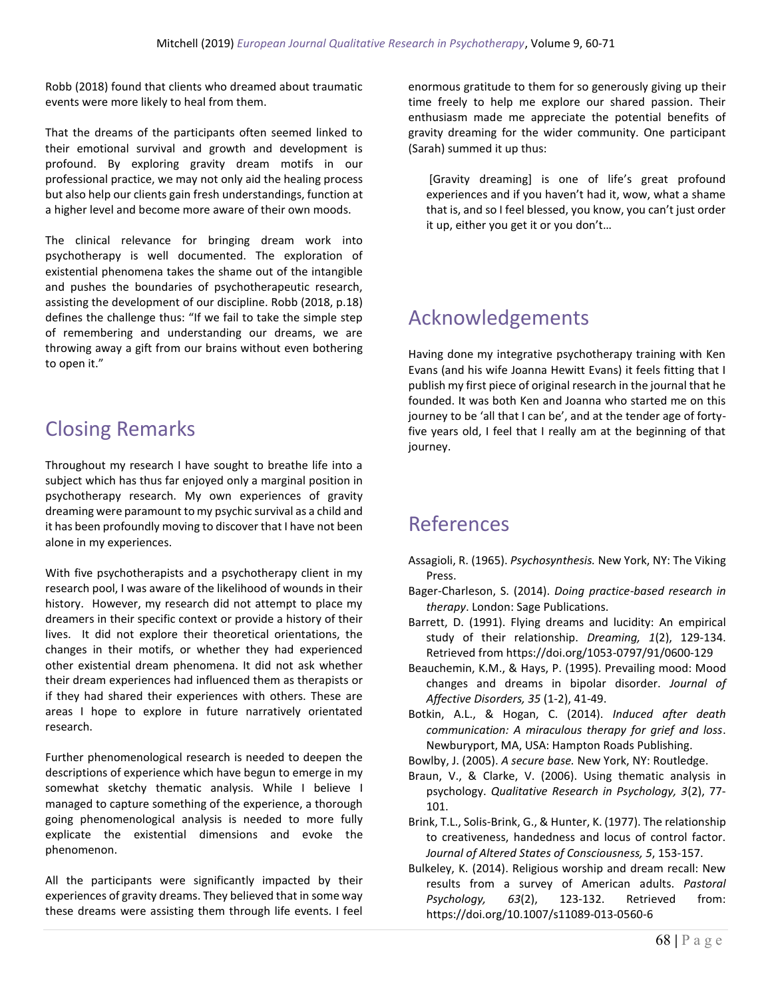Robb (2018) found that clients who dreamed about traumatic events were more likely to heal from them.

That the dreams of the participants often seemed linked to their emotional survival and growth and development is profound. By exploring gravity dream motifs in our professional practice, we may not only aid the healing process but also help our clients gain fresh understandings, function at a higher level and become more aware of their own moods.

The clinical relevance for bringing dream work into psychotherapy is well documented. The exploration of existential phenomena takes the shame out of the intangible and pushes the boundaries of psychotherapeutic research, assisting the development of our discipline. Robb (2018, p.18) defines the challenge thus: "If we fail to take the simple step of remembering and understanding our dreams, we are throwing away a gift from our brains without even bothering to open it."

## Closing Remarks

Throughout my research I have sought to breathe life into a subject which has thus far enjoyed only a marginal position in psychotherapy research. My own experiences of gravity dreaming were paramount to my psychic survival as a child and it has been profoundly moving to discover that I have not been alone in my experiences.

With five psychotherapists and a psychotherapy client in my research pool, I was aware of the likelihood of wounds in their history. However, my research did not attempt to place my dreamers in their specific context or provide a history of their lives. It did not explore their theoretical orientations, the changes in their motifs, or whether they had experienced other existential dream phenomena. It did not ask whether their dream experiences had influenced them as therapists or if they had shared their experiences with others. These are areas I hope to explore in future narratively orientated research.

Further phenomenological research is needed to deepen the descriptions of experience which have begun to emerge in my somewhat sketchy thematic analysis. While I believe I managed to capture something of the experience, a thorough going phenomenological analysis is needed to more fully explicate the existential dimensions and evoke the phenomenon.

All the participants were significantly impacted by their experiences of gravity dreams. They believed that in some way these dreams were assisting them through life events. I feel enormous gratitude to them for so generously giving up their time freely to help me explore our shared passion. Their enthusiasm made me appreciate the potential benefits of gravity dreaming for the wider community. One participant (Sarah) summed it up thus:

[Gravity dreaming] is one of life's great profound experiences and if you haven't had it, wow, what a shame that is, and so I feel blessed, you know, you can't just order it up, either you get it or you don't…

## Acknowledgements

Having done my integrative psychotherapy training with Ken Evans (and his wife Joanna Hewitt Evans) it feels fitting that I publish my first piece of original research in the journal that he founded. It was both Ken and Joanna who started me on this journey to be 'all that I can be', and at the tender age of fortyfive years old, I feel that I really am at the beginning of that journey.

## References

- Assagioli, R. (1965). *Psychosynthesis.* New York, NY: The Viking Press.
- Bager-Charleson, S. (2014). *Doing practice-based research in therapy*. London: Sage Publications.
- Barrett, D. (1991). Flying dreams and lucidity: An empirical study of their relationship. *Dreaming, 1*(2), 129-134. Retrieved from https://doi.org/1053-0797/91/0600-129
- Beauchemin, K.M., & Hays, P. (1995). Prevailing mood: Mood changes and dreams in bipolar disorder. *Journal of Affective Disorders, 35* (1-2), 41-49.
- Botkin, A.L., & Hogan, C. (2014). *Induced after death communication: A miraculous therapy for grief and loss*. Newburyport, MA, USA: Hampton Roads Publishing.
- Bowlby, J. (2005). *A secure base.* New York, NY: Routledge.
- Braun, V., & Clarke, V. (2006). Using thematic analysis in psychology. *Qualitative Research in Psychology, 3*(2), 77- 101.
- Brink, T.L., Solis-Brink, G., & Hunter, K. (1977). The relationship to creativeness, handedness and locus of control factor. *Journal of Altered States of Consciousness, 5*, 153-157.
- Bulkeley, K. (2014). Religious worship and dream recall: New results from a survey of American adults. *Pastoral Psychology, 63*(2), 123-132. Retrieved from: https://doi.org/10.1007/s11089-013-0560-6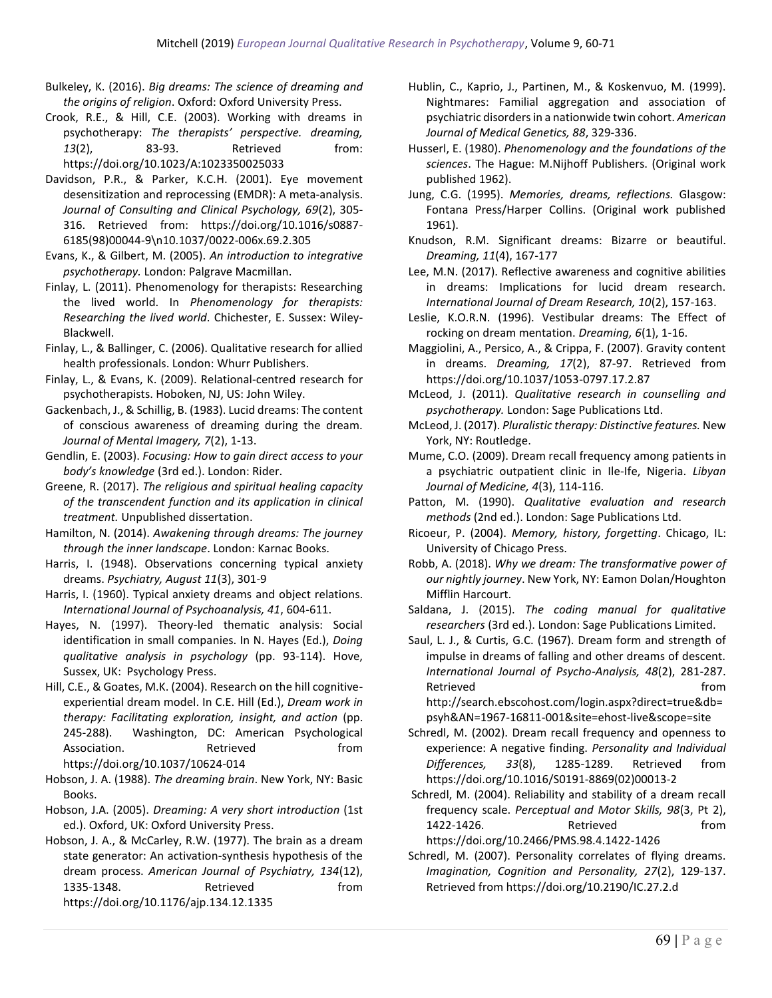- Bulkeley, K. (2016). *Big dreams: The science of dreaming and the origins of religion*. Oxford: Oxford University Press.
- Crook, R.E., & Hill, C.E. (2003). Working with dreams in psychotherapy: *The therapists' perspective. dreaming,*  13(2), 83-93. Retrieved from: https://doi.org/10.1023/A:1023350025033
- Davidson, P.R., & Parker, K.C.H. (2001). Eye movement desensitization and reprocessing (EMDR): A meta-analysis. *Journal of Consulting and Clinical Psychology, 69*(2), 305- 316. Retrieved from: https://doi.org/10.1016/s0887- 6185(98)00044-9\n10.1037/0022-006x.69.2.305
- Evans, K., & Gilbert, M. (2005). *An introduction to integrative psychotherapy.* London: Palgrave Macmillan.
- Finlay, L. (2011). Phenomenology for therapists: Researching the lived world. In *Phenomenology for therapists: Researching the lived world*. Chichester, E. Sussex: Wiley-Blackwell.
- Finlay, L., & Ballinger, C. (2006). Qualitative research for allied health professionals. London: Whurr Publishers.
- Finlay, L., & Evans, K. (2009). Relational-centred research for psychotherapists. Hoboken, NJ, US: John Wiley.
- Gackenbach, J., & Schillig, B. (1983). Lucid dreams: The content of conscious awareness of dreaming during the dream. *Journal of Mental Imagery, 7*(2), 1-13.
- Gendlin, E. (2003). *Focusing: How to gain direct access to your body's knowledge* (3rd ed.). London: Rider.
- Greene, R. (2017). *The religious and spiritual healing capacity of the transcendent function and its application in clinical treatment.* Unpublished dissertation.
- Hamilton, N. (2014). *Awakening through dreams: The journey through the inner landscape*. London: Karnac Books.
- Harris, I. (1948). Observations concerning typical anxiety dreams. *Psychiatry, August 11*(3), 301-9
- Harris, I. (1960). Typical anxiety dreams and object relations. *International Journal of Psychoanalysis, 41*, 604-611.
- Hayes, N. (1997). Theory-led thematic analysis: Social identification in small companies. In N. Hayes (Ed.), *Doing qualitative analysis in psychology* (pp. 93-114). Hove, Sussex, UK: Psychology Press.
- Hill, C.E., & Goates, M.K. (2004). Research on the hill cognitiveexperiential dream model. In C.E. Hill (Ed.), *Dream work in therapy: Facilitating exploration, insight, and action* (pp. 245-288). Washington, DC: American Psychological Association. **Retrieved** from https://doi.org/10.1037/10624-014
- Hobson, J. A. (1988). *The dreaming brain*. New York, NY: Basic Books.
- Hobson, J.A. (2005). *Dreaming: A very short introduction* (1st ed.). Oxford, UK: Oxford University Press.
- Hobson, J. A., & McCarley, R.W. (1977). The brain as a dream state generator: An activation-synthesis hypothesis of the dream process. *American Journal of Psychiatry, 134*(12), 1335-1348. Retrieved from https://doi.org/10.1176/ajp.134.12.1335
- Hublin, C., Kaprio, J., Partinen, M., & Koskenvuo, M. (1999). Nightmares: Familial aggregation and association of psychiatric disorders in a nationwide twin cohort. *American Journal of Medical Genetics, 88*, 329-336.
- Husserl, E. (1980). *Phenomenology and the foundations of the sciences*. The Hague: M.Nijhoff Publishers. (Original work published 1962).
- Jung, C.G. (1995). *Memories, dreams, reflections.* Glasgow: Fontana Press/Harper Collins. (Original work published 1961).
- Knudson, R.M. Significant dreams: Bizarre or beautiful. *Dreaming, 11*(4), 167-177
- Lee, M.N. (2017). Reflective awareness and cognitive abilities in dreams: Implications for lucid dream research. *International Journal of Dream Research, 10*(2), 157-163.
- Leslie, K.O.R.N. (1996). Vestibular dreams: The Effect of rocking on dream mentation. *Dreaming, 6*(1), 1-16.
- Maggiolini, A., Persico, A., & Crippa, F. (2007). Gravity content in dreams. *Dreaming, 17*(2), 87-97. Retrieved from https://doi.org/10.1037/1053-0797.17.2.87
- McLeod, J. (2011). *Qualitative research in counselling and psychotherapy.* London: Sage Publications Ltd.
- McLeod, J. (2017). *Pluralistic therapy: Distinctive features.* New York, NY: Routledge.
- Mume, C.O. (2009). Dream recall frequency among patients in a psychiatric outpatient clinic in Ile-Ife, Nigeria. *Libyan Journal of Medicine, 4*(3), 114-116.
- Patton, M. (1990). *Qualitative evaluation and research methods* (2nd ed.). London: Sage Publications Ltd.
- Ricoeur, P. (2004). *Memory, history, forgetting*. Chicago, IL: University of Chicago Press.
- Robb, A. (2018). *Why we dream: The transformative power of our nightly journey*. New York, NY: Eamon Dolan/Houghton Mifflin Harcourt.
- Saldana, J. (2015). *The coding manual for qualitative researchers* (3rd ed.). London: Sage Publications Limited.
- Saul, L. J., & Curtis, G.C. (1967). Dream form and strength of impulse in dreams of falling and other dreams of descent. *International Journal of Psycho-Analysis, 48*(2), 281-287. Retrieved **from**

http://search.ebscohost.com/login.aspx?direct=true&db= psyh&AN=1967-16811-001&site=ehost-live&scope=site

- Schredl, M. (2002). Dream recall frequency and openness to experience: A negative finding. *Personality and Individual Differences, 33*(8), 1285-1289. Retrieved from https://doi.org/10.1016/S0191-8869(02)00013-2
- Schredl, M. (2004). Reliability and stability of a dream recall frequency scale. *Perceptual and Motor Skills, 98*(3, Pt 2), 1422-1426. Retrieved from https://doi.org/10.2466/PMS.98.4.1422-1426
- Schredl, M. (2007). Personality correlates of flying dreams. *Imagination, Cognition and Personality, 27*(2), 129-137. Retrieved from https://doi.org/10.2190/IC.27.2.d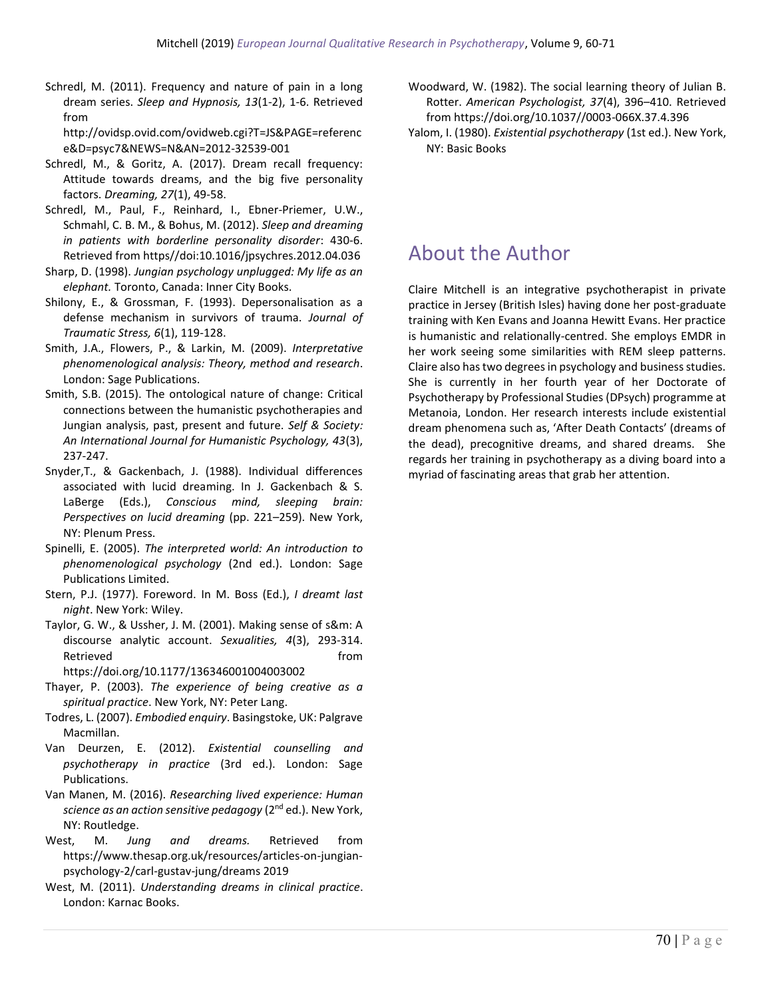Schredl, M. (2011). Frequency and nature of pain in a long dream series. *Sleep and Hypnosis, 13*(1-2), 1-6. Retrieved from

http://ovidsp.ovid.com/ovidweb.cgi?T=JS&PAGE=referenc e&D=psyc7&NEWS=N&AN=2012-32539-001

- Schredl, M., & Goritz, A. (2017). Dream recall frequency: Attitude towards dreams, and the big five personality factors. *Dreaming, 27*(1), 49-58.
- Schredl, M., Paul, F., Reinhard, I., Ebner-Priemer, U.W., Schmahl, C. B. M., & Bohus, M. (2012). *Sleep and dreaming in patients with borderline personality disorder*: 430-6. Retrieved from https//doi:10.1016/jpsychres.2012.04.036
- Sharp, D. (1998). *Jungian psychology unplugged: My life as an elephant.* Toronto, Canada: Inner City Books.
- Shilony, E., & Grossman, F. (1993). Depersonalisation as a defense mechanism in survivors of trauma. *Journal of Traumatic Stress, 6*(1), 119-128.
- Smith, J.A., Flowers, P., & Larkin, M. (2009). *Interpretative phenomenological analysis: Theory, method and research*. London: Sage Publications.
- Smith, S.B. (2015). The ontological nature of change: Critical connections between the humanistic psychotherapies and Jungian analysis, past, present and future. *Self & Society: An International Journal for Humanistic Psychology, 43*(3), 237-247.
- Snyder,T., & Gackenbach, J. (1988). Individual differences associated with lucid dreaming. In J. Gackenbach & S. LaBerge (Eds.), *Conscious mind, sleeping brain: Perspectives on lucid dreaming* (pp. 221–259). New York, NY: Plenum Press.
- Spinelli, E. (2005). *The interpreted world: An introduction to phenomenological psychology* (2nd ed.). London: Sage Publications Limited.
- Stern, P.J. (1977). Foreword. In M. Boss (Ed.), *I dreamt last night*. New York: Wiley.
- Taylor, G. W., & Ussher, J. M. (2001). Making sense of s&m: A discourse analytic account. *Sexualities, 4*(3), 293-314. Retrieved **from**

https://doi.org/10.1177/136346001004003002

- Thayer, P. (2003). *The experience of being creative as a spiritual practice*. New York, NY: Peter Lang.
- Todres, L. (2007). *Embodied enquiry*. Basingstoke, UK: Palgrave Macmillan.
- Van Deurzen, E. (2012). *Existential counselling and psychotherapy in practice* (3rd ed.). London: Sage Publications.
- Van Manen, M. (2016). *Researching lived experience: Human science as an action sensitive pedagogy* (2 nd ed.). New York, NY: Routledge.
- West, M. *Jung and dreams.* Retrieved from https://www.thesap.org.uk/resources/articles-on-jungianpsychology-2/carl-gustav-jung/dreams 2019
- West, M. (2011). *Understanding dreams in clinical practice*. London: Karnac Books.
- Woodward, W. (1982). The social learning theory of Julian B. Rotter. *American Psychologist, 37*(4), 396–410. Retrieved from https://doi.org/10.1037//0003-066X.37.4.396
- Yalom, I. (1980). *Existential psychotherapy* (1st ed.). New York, NY: Basic Books

### About the Author

Claire Mitchell is an integrative psychotherapist in private practice in Jersey (British Isles) having done her post-graduate training with Ken Evans and Joanna Hewitt Evans. Her practice is humanistic and relationally-centred. She employs EMDR in her work seeing some similarities with REM sleep patterns. Claire also has two degrees in psychology and business studies. She is currently in her fourth year of her Doctorate of Psychotherapy by Professional Studies (DPsych) programme at Metanoia, London. Her research interests include existential dream phenomena such as, 'After Death Contacts' (dreams of the dead), precognitive dreams, and shared dreams. She regards her training in psychotherapy as a diving board into a myriad of fascinating areas that grab her attention.